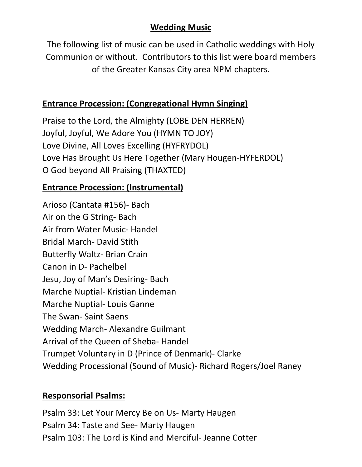## **Wedding Music**

The following list of music can be used in Catholic weddings with Holy Communion or without. Contributors to this list were board members of the Greater Kansas City area NPM chapters.

## **Entrance Procession: (Congregational Hymn Singing)**

Praise to the Lord, the Almighty (LOBE DEN HERREN) Joyful, Joyful, We Adore You (HYMN TO JOY) Love Divine, All Loves Excelling (HYFRYDOL) Love Has Brought Us Here Together (Mary Hougen-HYFERDOL) O God beyond All Praising (THAXTED)

# **Entrance Procession: (Instrumental)**

Arioso (Cantata #156)- Bach Air on the G String- Bach Air from Water Music- Handel Bridal March- David Stith Butterfly Waltz- Brian Crain Canon in D- Pachelbel Jesu, Joy of Man's Desiring- Bach Marche Nuptial- Kristian Lindeman Marche Nuptial- Louis Ganne The Swan- Saint Saens Wedding March- Alexandre Guilmant Arrival of the Queen of Sheba- Handel Trumpet Voluntary in D (Prince of Denmark)- Clarke Wedding Processional (Sound of Music)- Richard Rogers/Joel Raney

### **Responsorial Psalms:**

Psalm 33: Let Your Mercy Be on Us- Marty Haugen Psalm 34: Taste and See- Marty Haugen Psalm 103: The Lord is Kind and Merciful- Jeanne Cotter